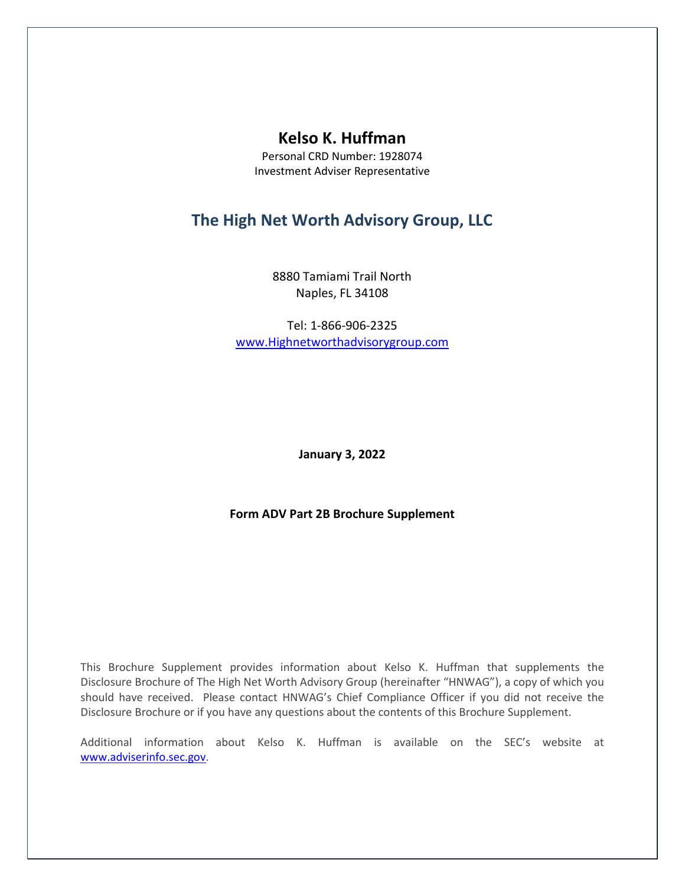# **Kelso K. Huffman**

Personal CRD Number: 1928074 Investment Adviser Representative

# **The High Net Worth Advisory Group, LLC**

8880 Tamiami Trail North Naples, FL 34108

Tel: 1-866-906-2325 [www.Highnetworthadvisorygroup.com](http://www.highnetworthadvisorygroup.com/)

**January 3, 2022**

**Form ADV Part 2B Brochure Supplement**

This Brochure Supplement provides information about Kelso K. Huffman that supplements the Disclosure Brochure of The High Net Worth Advisory Group (hereinafter "HNWAG"), a copy of which you should have received. Please contact HNWAG's Chief Compliance Officer if you did not receive the Disclosure Brochure or if you have any questions about the contents of this Brochure Supplement.

Additional information about Kelso K. Huffman is available on the SEC's website at [www.adviserinfo.sec.gov.](http://www.adviserinfo.sec.gov/)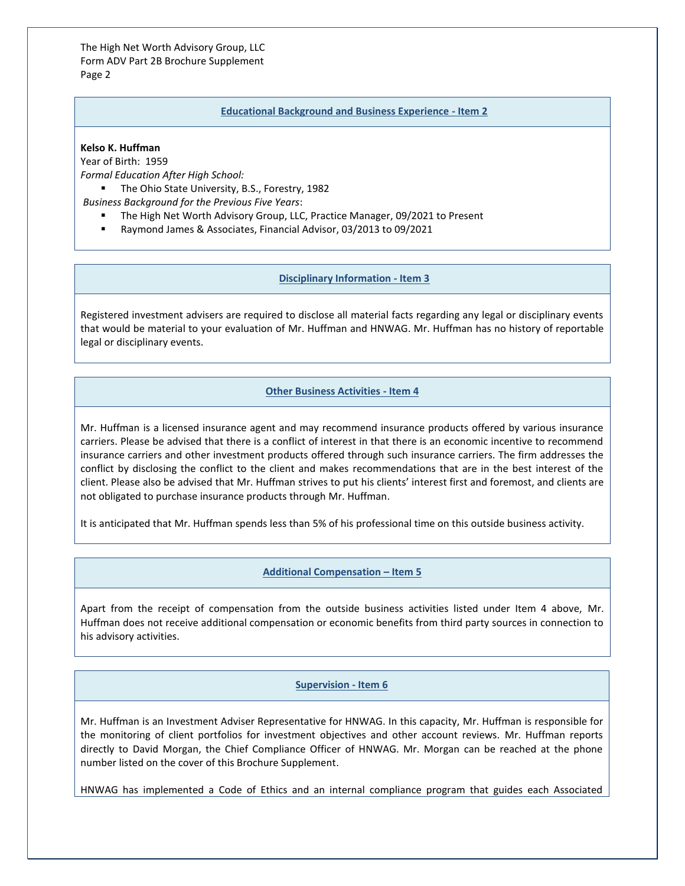The High Net Worth Advisory Group, LLC Form ADV Part 2B Brochure Supplement Page 2

#### **Educational Background and Business Experience - Item 2**

### **Kelso K. Huffman**

Year of Birth: 1959 *Formal Education After High School:*

■ The Ohio State University, B.S., Forestry, 1982

*Business Background for the Previous Five Years*:

- The High Net Worth Advisory Group, LLC, Practice Manager, 09/2021 to Present
- Raymond James & Associates, Financial Advisor, 03/2013 to 09/2021

#### **Disciplinary Information - Item 3**

Registered investment advisers are required to disclose all material facts regarding any legal or disciplinary events that would be material to your evaluation of Mr. Huffman and HNWAG. Mr. Huffman has no history of reportable legal or disciplinary events.

# **Other Business Activities - Item 4**

Mr. Huffman is a licensed insurance agent and may recommend insurance products offered by various insurance carriers. Please be advised that there is a conflict of interest in that there is an economic incentive to recommend insurance carriers and other investment products offered through such insurance carriers. The firm addresses the conflict by disclosing the conflict to the client and makes recommendations that are in the best interest of the client. Please also be advised that Mr. Huffman strives to put his clients' interest first and foremost, and clients are not obligated to purchase insurance products through Mr. Huffman.

It is anticipated that Mr. Huffman spends less than 5% of his professional time on this outside business activity.

# **Additional Compensation – Item 5**

Apart from the receipt of compensation from the outside business activities listed under Item 4 above, Mr. Huffman does not receive additional compensation or economic benefits from third party sources in connection to his advisory activities.

#### **Supervision - Item 6**

Mr. Huffman is an Investment Adviser Representative for HNWAG. In this capacity, Mr. Huffman is responsible for the monitoring of client portfolios for investment objectives and other account reviews. Mr. Huffman reports directly to David Morgan, the Chief Compliance Officer of HNWAG. Mr. Morgan can be reached at the phone number listed on the cover of this Brochure Supplement.

HNWAG has implemented a Code of Ethics and an internal compliance program that guides each Associated